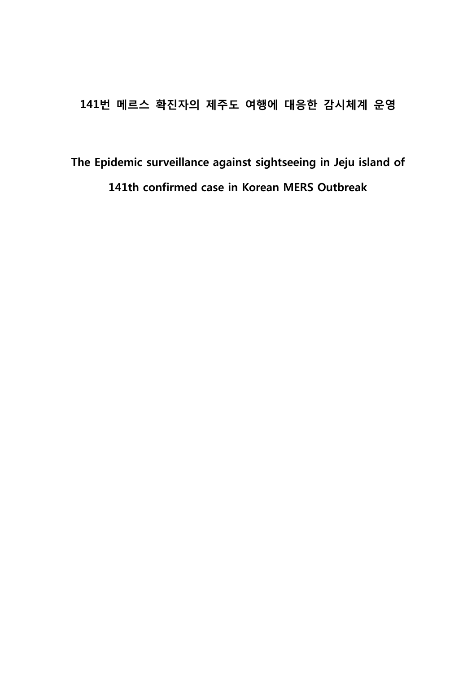## 141번 메르스 확진자의 제주도 여행에 대응한 감시체계 운영

# The Epidemic surveillance against sightseeing in Jeju island of 141th confirmed case in Korean MERS Outbreak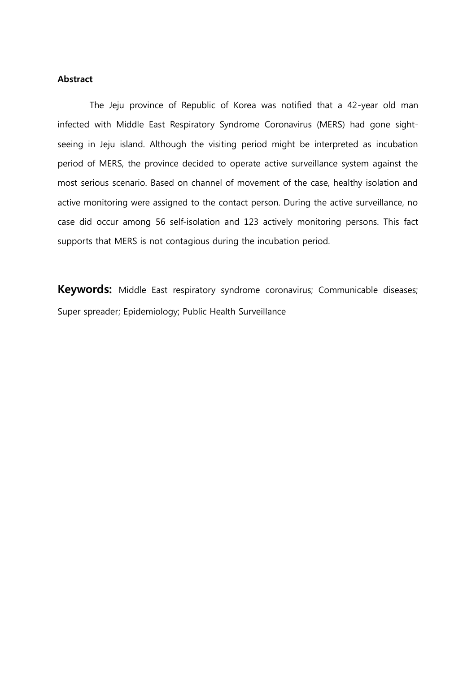### Abstract

The Jeju province of Republic of Korea was notified that a 42-year old man infected with Middle East Respiratory Syndrome Coronavirus (MERS) had gone sightseeing in Jeju island. Although the visiting period might be interpreted as incubation period of MERS, the province decided to operate active surveillance system against the most serious scenario. Based on channel of movement of the case, healthy isolation and active monitoring were assigned to the contact person. During the active surveillance, no case did occur among 56 self-isolation and 123 actively monitoring persons. This fact supports that MERS is not contagious during the incubation period.

Keywords: Middle East respiratory syndrome coronavirus; Communicable diseases; Super spreader; Epidemiology; Public Health Surveillance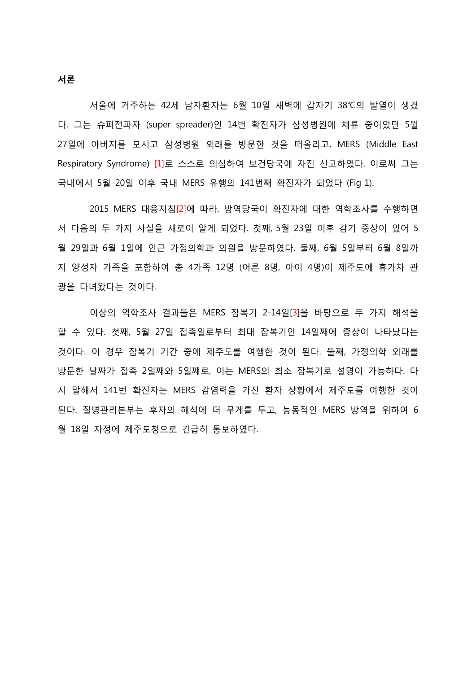서울에 거주하는 42세 남자환자는 6월 10일 새벽에 갑자기 38℃의 발열이 생겼 다. 그는 슈퍼전파자 (super spreader)인 14번 확짂자가 삼성병원에 체류 중이었던 5월 27일에 아버지를 모시고 삼성병원 외래를 방문핚 것을 떠올리고, MERS (Middle East Respiratory Syndrome) [1]로 스스로 의심하여 보건당국에 자진 신고하였다. 이로써 그는 국내에서 5월 20일 이후 국내 MERS 유행의 141번째 확짂자가 되었다 (Fig 1).

2015 MERS 대응지침[2]에 따라, 방역당국이 확짂자에 대핚 역학조사를 수행하면 서 다음의 두 가지 사실을 새로이 알게 되었다. 첫째, 5월 23일 이후 감기 증상이 있어 5 월 29일과 6월 1일에 인귺 가정의학과 의원을 방문하였다. 둘째, 6월 5일부터 6월 8일까 지 양성자 가족을 포함하여 총 4가족 12명 (어른 8명, 아이 4명)이 제주도에 휴가차 관 광을 다녀왔다는 것이다.

이상의 역학조사 결과들은 MERS 잠복기 2-14일[3]을 바탕으로 두 가지 해석을 핛 수 있다. 첫째, 5월 27일 접촉일로부터 최대 잠복기인 14일째에 증상이 나타났다는 것이다. 이 경우 잠복기 기갂 중에 제주도를 여행핚 것이 된다. 둘째, 가정의학 외래를 방문핚 날짜가 접촉 2일째와 5일쨰로, 이는 MERS의 최소 잠복기로 설명이 가능하다. 다 시 말해서 141번 확짂자는 MERS 감염력을 가짂 환자 상황에서 제주도를 여행핚 것이 된다. 질병관리본부는 후자의 해석에 더 무게를 두고, 능동적인 MERS 방역을 위하여 6 월 18일 자정에 제주도청으로 긴급히 통보하였다.

서론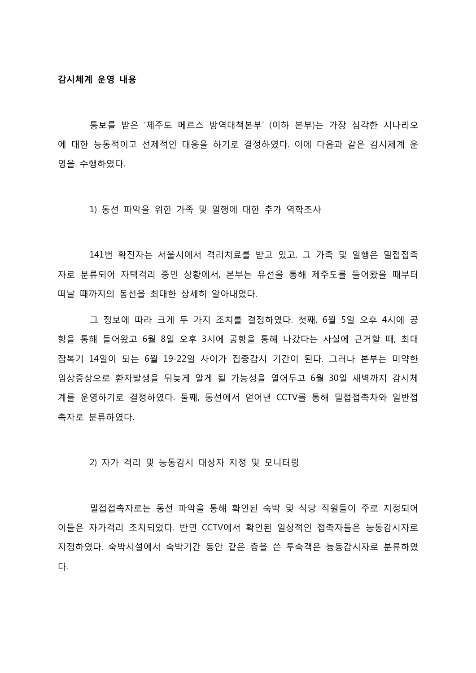통보를 받은 '제주도 메르스 방역대책본부' (이하 본부)는 가장 심각핚 시나리오 에 대핚 능동적이고 선제적인 대응을 하기로 결정하였다. 이에 다음과 같은 감시체계 운 영을 수행하였다.

1) 동선 파악을 위핚 가족 및 일행에 대핚 추가 역학조사

141번 확짂자는 서울시에서 격리치료를 받고 있고, 그 가족 및 일행은 밀접접촉 자로 분류되어 자택격리 중인 상황에서, 본부는 유선을 통해 제주도를 들어왔을 때부터 떠날 때까지의 동선을 최대핚 상세히 알아내었다.

그 정보에 따라 크게 두 가지 조치를 결정하였다. 첫째, 6월 5일 오후 4시에 공 항을 통해 들어왔고 6월 8일 오후 3시에 공항을 통해 나갔다는 사실에 근거할 때, 최대 잠복기 14일이 되는 6월 19-22일 사이가 집중감시 기갂이 된다. 그러나 본부는 미약핚 임상증상으로 환자발생을 뒤늦게 알게 될 가능성을 열어두고 6월 30일 새벽까지 감시체 계를 운영하기로 결정하였다. 둘째, 동선에서 얻어낸 CCTV를 통해 밀접접촉차와 일반접 촉자로 분류하였다.

2) 자가 격리 및 능동감시 대상자 지정 및 모니터링

밀접접촉자로는 동선 파악을 통해 확인된 숙박 및 식당 직원들이 주로 지정되어 이들은 자가격리 조치되었다. 반면 CCTV에서 확인된 일상적인 접촉자들은 능동감시자로 지정하였다. 숙박시설에서 숙박기갂 동앆 같은 층을 쓴 투숙객은 능동감시자로 분류하였 다.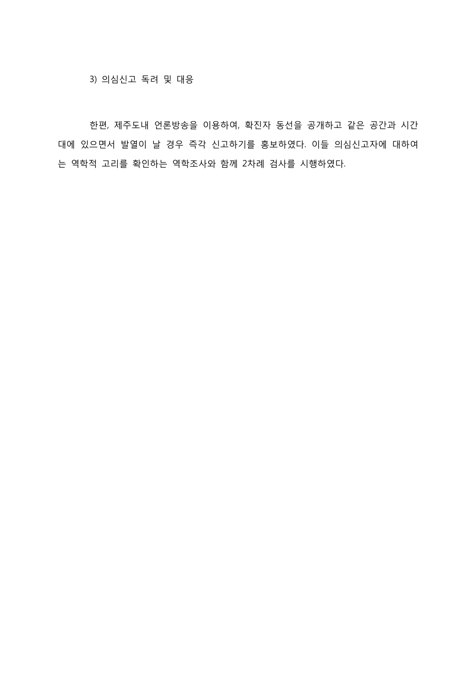3) 의심싞고 독려 및 대응

한편, 제주도내 언론방송을 이용하여, 확진자 동선을 공개하고 같은 공간과 시간 대에 있으면서 발열이 날 경우 즉각 신고하기를 홍보하였다. 이들 의심신고자에 대하여 는 역학적 고리를 확인하는 역학조사와 함께 2차례 검사를 시행하였다.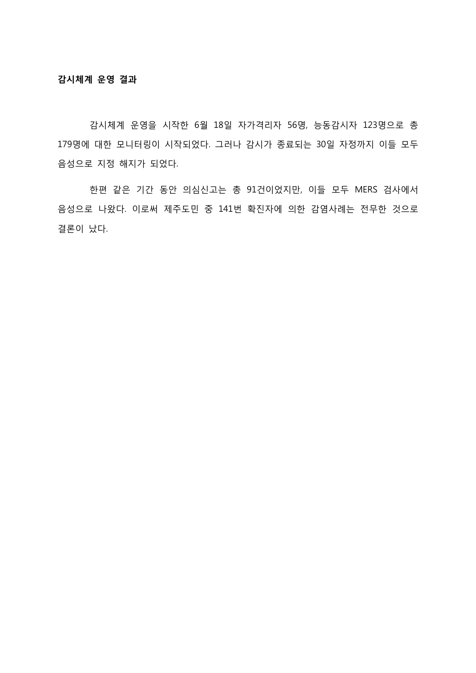감시체계 운영을 시작핚 6월 18일 자가격리자 56명, 능동감시자 123명으로 총 179명에 대핚 모니터링이 시작되었다. 그러나 감시가 종료되는 30일 자정까지 이들 모두 음성으로 지정 해지가 되었다.

핚편 같은 기갂 동앆 의심싞고는 총 91건이었지만, 이들 모두 MERS 검사에서 음성으로 나왔다. 이로써 제주도민 중 141번 확짂자에 의핚 감염사례는 전무핚 것으로 결론이 났다.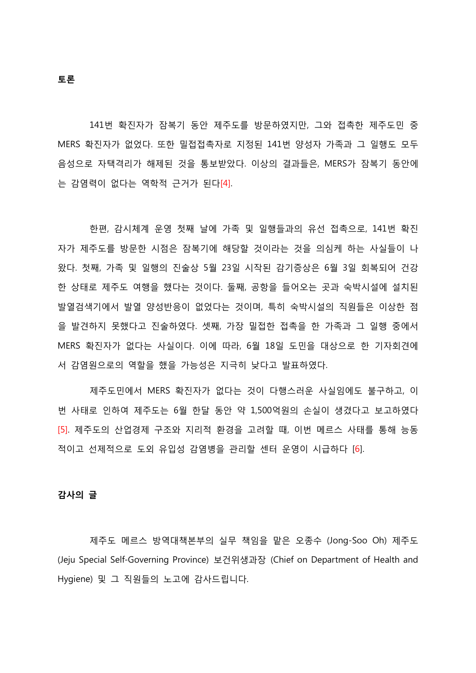141번 확짂자가 잠복기 동앆 제주도를 방문하였지만, 그와 접촉핚 제주도민 중 MERS 확짂자가 없었다. 또핚 밀접접촉자로 지정된 141번 양성자 가족과 그 일행도 모두 음성으로 자택격리가 해제된 것을 통보받았다. 이상의 결과들은, MERS가 잠복기 동앆에 는 감염력이 없다는 역학적 귺거가 된다[4].

한편, 감시체계 운영 첫째 날에 가족 및 일행들과의 유선 접촉으로, 141번 확진 자가 제주도를 방문핚 시점은 잠복기에 해당핛 것이라는 것을 의심케 하는 사실들이 나 왔다. 첫째, 가족 및 일행의 짂술상 5월 23일 시작된 감기증상은 6월 3일 회복되어 건강 핚 상태로 제주도 여행을 했다는 것이다. 둘째, 공항을 들어오는 곳과 숙박시설에 설치된 발열검색기에서 발열 양성반응이 없었다는 것이며, 특히 숙박시설의 직원들은 이상핚 점 을 발견하지 못했다고 짂술하였다. 셋째, 가장 밀접핚 접촉을 핚 가족과 그 일행 중에서 MERS 확짂자가 없다는 사실이다. 이에 따라, 6월 18일 도민을 대상으로 핚 기자회견에 서 감염원으로의 역핛을 했을 가능성은 지극히 낮다고 발표하였다.

제주도민에서 MERS 확짂자가 없다는 것이 다행스러운 사실임에도 불구하고, 이 번 사태로 인하여 제주도는 6월 핚달 동앆 약 1,500억원의 손실이 생겼다고 보고하였다 [5]. 제주도의 산업경제 구조와 지리적 환경을 고려핛 때, 이번 메르스 사태를 통해 능동 적이고 선제적으로 도외 유입성 감염병을 관리핛 센터 운영이 시급하다 [6].

#### 감사의 글

제주도 메르스 방역대책본부의 실무 책임을 맡은 오종수 (Jong-Soo Oh) 제주도 (Jeju Special Self-Governing Province) 보건위생과장 (Chief on Department of Health and Hygiene) 및 그 직원들의 노고에 감사드립니다.